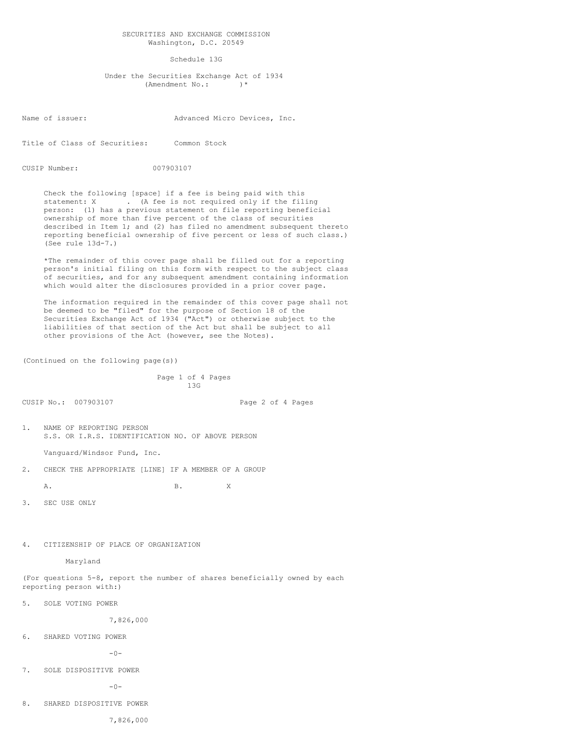## SECURITIES AND EXCHANGE COMMISSION Washington, D.C. 20549

## Schedule 13G

 Under the Securities Exchange Act of 1934 (Amendment No.: )\*

Name of issuer: Advanced Micro Devices, Inc.

Title of Class of Securities: Common Stock

CUSIP Number: 007903107

 Check the following [space] if a fee is being paid with this statement: X . (A fee is not required only if the filing person: (1) has a previous statement on file reporting beneficial ownership of more than five percent of the class of securities described in Item 1; and (2) has filed no amendment subsequent thereto reporting beneficial ownership of five percent or less of such class.) (See rule 13d-7.)

 \*The remainder of this cover page shall be filled out for a reporting person's initial filing on this form with respect to the subject class of securities, and for any subsequent amendment containing information which would alter the disclosures provided in a prior cover page.

 The information required in the remainder of this cover page shall not be deemed to be "filed" for the purpose of Section 18 of the Securities Exchange Act of 1934 ("Act") or otherwise subject to the liabilities of that section of the Act but shall be subject to all other provisions of the Act (however, see the Notes).

(Continued on the following page(s))

```
 Page 1 of 4 Pages
13G
```
CUSIP No.: 007903107 Page 2 of 4 Pages

1. NAME OF REPORTING PERSON S.S. OR I.R.S. IDENTIFICATION NO. OF ABOVE PERSON

Vanguard/Windsor Fund, Inc.

2. CHECK THE APPROPRIATE [LINE] IF A MEMBER OF A GROUP

A. B. X

3. SEC USE ONLY

4. CITIZENSHIP OF PLACE OF ORGANIZATION

Maryland

(For questions 5-8, report the number of shares beneficially owned by each reporting person with:)

5. SOLE VOTING POWER

7,826,000

6. SHARED VOTING POWER

 $-0-$ 

7. SOLE DISPOSITIVE POWER

 $-0-$ 

8. SHARED DISPOSITIVE POWER

7,826,000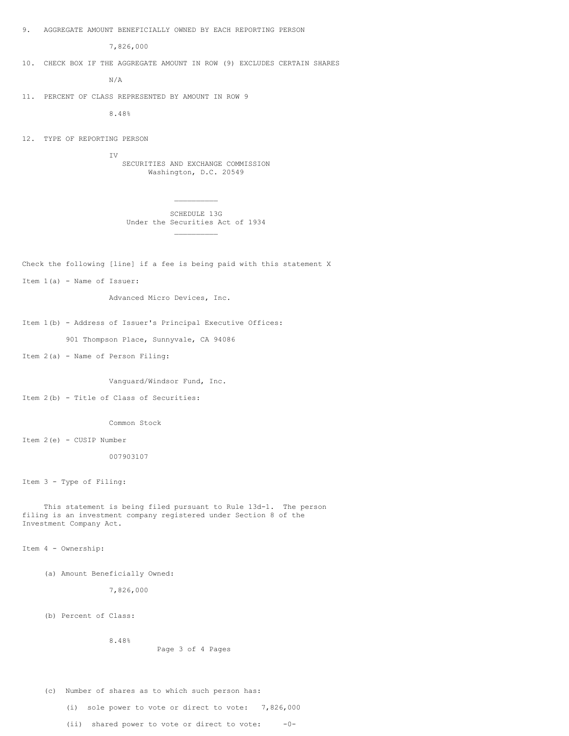9. AGGREGATE AMOUNT BENEFICIALLY OWNED BY EACH REPORTING PERSON

7,826,000

10. CHECK BOX IF THE AGGREGATE AMOUNT IN ROW (9) EXCLUDES CERTAIN SHARES

N/A

11. PERCENT OF CLASS REPRESENTED BY AMOUNT IN ROW 9

8.48%

 $\mathcal{L}_\text{max}$  and  $\mathcal{L}_\text{max}$  are the set of the set of the set of the set of the set of the set of the set of the set of the set of the set of the set of the set of the set of the set of the set of the set of the set o

12. TYPE OF REPORTING PERSON

 IV SECURITIES AND EXCHANGE COMMISSION Washington, D.C. 20549

 SCHEDULE 13G Under the Securities Act of 1934  $\mathcal{L}_\text{max}$  and  $\mathcal{L}_\text{max}$  are the set of the set of the set of the set of the set of the set of the set of the set of the set of the set of the set of the set of the set of the set of the set of the set of the set o

Check the following [line] if a fee is being paid with this statement X

Item 1(a) - Name of Issuer:

Advanced Micro Devices, Inc.

Item 1(b) - Address of Issuer's Principal Executive Offices:

901 Thompson Place, Sunnyvale, CA 94086

Item 2(a) - Name of Person Filing:

Vanguard/Windsor Fund, Inc.

Item 2(b) - Title of Class of Securities:

Common Stock

Item 2(e) - CUSIP Number

007903107

Item 3 - Type of Filing:

 This statement is being filed pursuant to Rule 13d-1. The person filing is an investment company registered under Section 8 of the Investment Company Act.

Item 4 - Ownership:

(a) Amount Beneficially Owned:

7,826,000

8.48%

(b) Percent of Class:

Page 3 of 4 Pages

(c) Number of shares as to which such person has:

(i) sole power to vote or direct to vote: 7,826,000

(ii) shared power to vote or direct to vote:  $-0-$